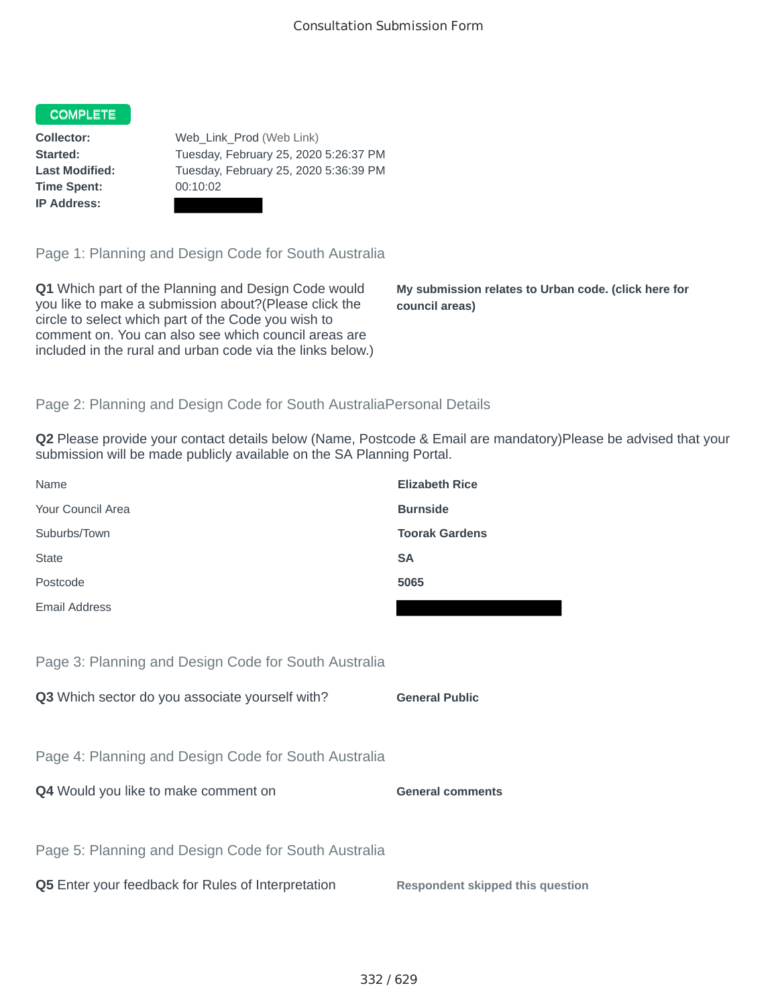## **COMPLETE**

**Time Spent:** 00:10:02 **IP Address:**

**Collector:** Web\_Link\_Prod (Web Link) **Started:** Tuesday, February 25, 2020 5:26:37 PM **Last Modified:** Tuesday, February 25, 2020 5:36:39 PM

Page 1: Planning and Design Code for South Australia

**Q1** Which part of the Planning and Design Code would you like to make a submission about?(Please click the circle to select which part of the Code you wish to comment on. You can also see which council areas are included in the rural and urban code via the links below.)

**My submission relates to Urban code. (click here for council areas)**

## Page 2: Planning and Design Code for South AustraliaPersonal Details

**Q2** Please provide your contact details below (Name, Postcode & Email are mandatory)Please be advised that your submission will be made publicly available on the SA Planning Portal.

| Name                                                 | <b>Elizabeth Rice</b> |
|------------------------------------------------------|-----------------------|
| Your Council Area                                    | <b>Burnside</b>       |
| Suburbs/Town                                         | <b>Toorak Gardens</b> |
| <b>State</b>                                         | <b>SA</b>             |
| Postcode                                             | 5065                  |
| Email Address                                        |                       |
|                                                      |                       |
| Page 3: Planning and Design Code for South Australia |                       |
| Q3 Which sector do you associate yourself with?      | <b>General Public</b> |

Page 4: Planning and Design Code for South Australia

**Q4** Would you like to make comment on **General comments** 

Page 5: Planning and Design Code for South Australia

**Q5** Enter your feedback for Rules of Interpretation **Respondent skipped this question**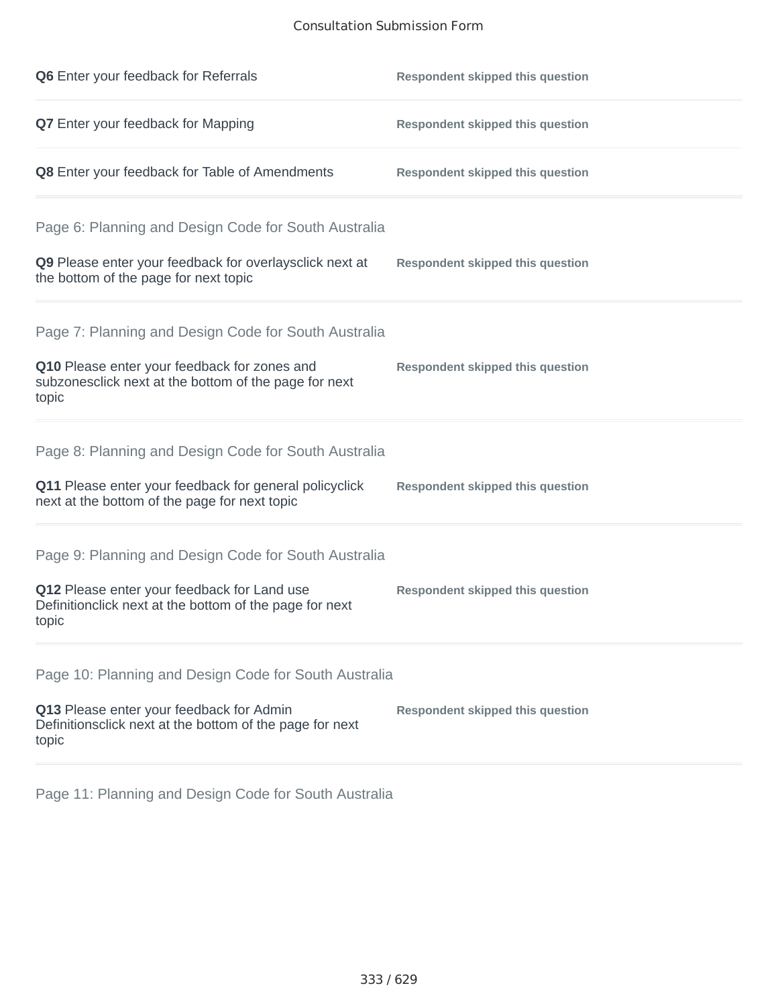## Consultation Submission Form

| Q6 Enter your feedback for Referrals                                                                            | <b>Respondent skipped this question</b> |
|-----------------------------------------------------------------------------------------------------------------|-----------------------------------------|
| Q7 Enter your feedback for Mapping                                                                              | <b>Respondent skipped this question</b> |
| Q8 Enter your feedback for Table of Amendments                                                                  | <b>Respondent skipped this question</b> |
| Page 6: Planning and Design Code for South Australia                                                            |                                         |
| Q9 Please enter your feedback for overlaysclick next at<br>the bottom of the page for next topic                | <b>Respondent skipped this question</b> |
| Page 7: Planning and Design Code for South Australia                                                            |                                         |
| Q10 Please enter your feedback for zones and<br>subzonesclick next at the bottom of the page for next<br>topic  | <b>Respondent skipped this question</b> |
| Page 8: Planning and Design Code for South Australia                                                            |                                         |
| Q11 Please enter your feedback for general policyclick<br>next at the bottom of the page for next topic         | <b>Respondent skipped this question</b> |
| Page 9: Planning and Design Code for South Australia                                                            |                                         |
| Q12 Please enter your feedback for Land use<br>Definitionclick next at the bottom of the page for next<br>topic | <b>Respondent skipped this question</b> |
| Page 10: Planning and Design Code for South Australia                                                           |                                         |
| Q13 Please enter your feedback for Admin<br>Definitionsclick next at the bottom of the page for next<br>topic   | <b>Respondent skipped this question</b> |

Page 11: Planning and Design Code for South Australia